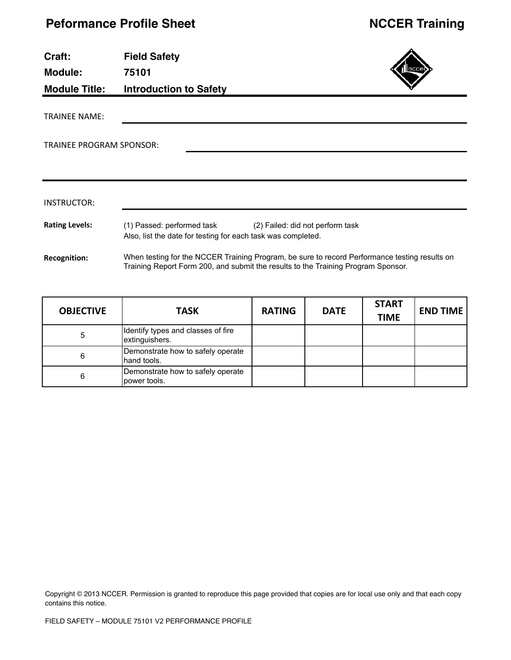| Craft:<br>Module:<br><b>Module Title:</b> | <b>Field Safety</b><br>75101<br><b>Introduction to Safety</b>                                                                                                                      |
|-------------------------------------------|------------------------------------------------------------------------------------------------------------------------------------------------------------------------------------|
| <b>TRAINEE NAME:</b>                      |                                                                                                                                                                                    |
| TRAINEE PROGRAM SPONSOR:                  |                                                                                                                                                                                    |
|                                           |                                                                                                                                                                                    |
| <b>INSTRUCTOR:</b>                        |                                                                                                                                                                                    |
| <b>Rating Levels:</b>                     | (1) Passed: performed task<br>(2) Failed: did not perform task<br>Also, list the date for testing for each task was completed.                                                     |
| <b>Recognition:</b>                       | When testing for the NCCER Training Program, be sure to record Performance testing results on<br>Training Report Form 200, and submit the results to the Training Program Sponsor. |

| <b>OBJECTIVE</b> | <b>TASK</b>                                          | <b>RATING</b> | <b>DATE</b> | <b>START</b><br><b>TIME</b> | <b>END TIME</b> |
|------------------|------------------------------------------------------|---------------|-------------|-----------------------------|-----------------|
|                  | Identify types and classes of fire<br>extinguishers. |               |             |                             |                 |
| 6                | Demonstrate how to safely operate<br>hand tools.     |               |             |                             |                 |
| 6                | Demonstrate how to safely operate<br>power tools.    |               |             |                             |                 |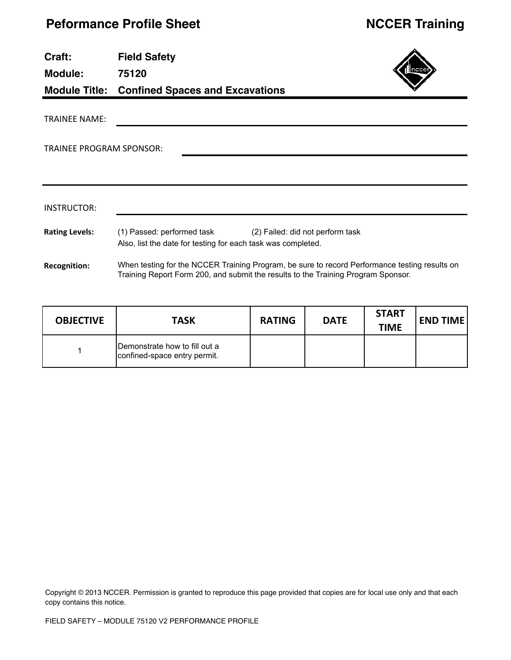| Craft:<br><b>Module:</b>        | <b>Field Safety</b><br>75120                                                                                                |  |
|---------------------------------|-----------------------------------------------------------------------------------------------------------------------------|--|
|                                 | <b>Module Title: Confined Spaces and Excavations</b>                                                                        |  |
| <b>TRAINEE NAME:</b>            |                                                                                                                             |  |
| <b>TRAINEE PROGRAM SPONSOR:</b> |                                                                                                                             |  |
|                                 |                                                                                                                             |  |
| INSTRUCTOR:                     |                                                                                                                             |  |
| <b>Rating Levels:</b>           | (1) Passed: performed task (2) Failed: did not perform task<br>Also, list the date for testing for each task was completed. |  |
| <b>Recognition:</b>             | When testing for the NCCER Training Program, be sure to record Performance testing results on                               |  |

| <b>OBJECTIVE</b> | <b>TASK</b>                                                   | <b>RATING</b> | <b>DATE</b> | <b>START</b><br><b>TIME</b> | <b>END TIME</b> |
|------------------|---------------------------------------------------------------|---------------|-------------|-----------------------------|-----------------|
|                  | Demonstrate how to fill out a<br>confined-space entry permit. |               |             |                             |                 |

Training Report Form 200, and submit the results to the Training Program Sponsor.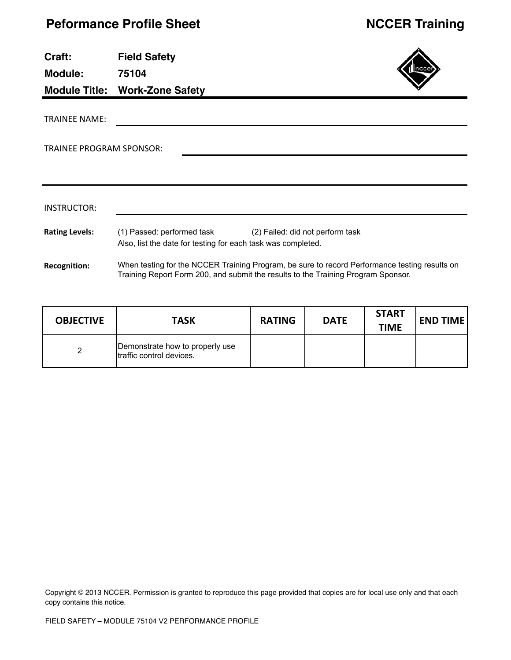| Craft:<br><b>Module:</b>        | <b>Field Safety</b><br>75104<br><b>Module Title: Work-Zone Safety</b>                                                                                                              |
|---------------------------------|------------------------------------------------------------------------------------------------------------------------------------------------------------------------------------|
|                                 |                                                                                                                                                                                    |
| <b>TRAINEE NAME:</b>            |                                                                                                                                                                                    |
|                                 |                                                                                                                                                                                    |
| <b>TRAINEE PROGRAM SPONSOR:</b> |                                                                                                                                                                                    |
|                                 |                                                                                                                                                                                    |
|                                 |                                                                                                                                                                                    |
|                                 |                                                                                                                                                                                    |
| INSTRUCTOR:                     |                                                                                                                                                                                    |
| <b>Rating Levels:</b>           | (1) Passed: performed task<br>(2) Failed: did not perform task                                                                                                                     |
|                                 | Also, list the date for testing for each task was completed.                                                                                                                       |
| <b>Recognition:</b>             | When testing for the NCCER Training Program, be sure to record Performance testing results on<br>Training Report Form 200, and submit the results to the Training Program Sponsor. |

| <b>OBJECTIVE</b> | <b>TASK</b>                                                 | <b>RATING</b> | <b>DATE</b> | <b>START</b><br><b>TIME</b> | <b>END TIME</b> |
|------------------|-------------------------------------------------------------|---------------|-------------|-----------------------------|-----------------|
|                  | Demonstrate how to properly use<br>traffic control devices. |               |             |                             |                 |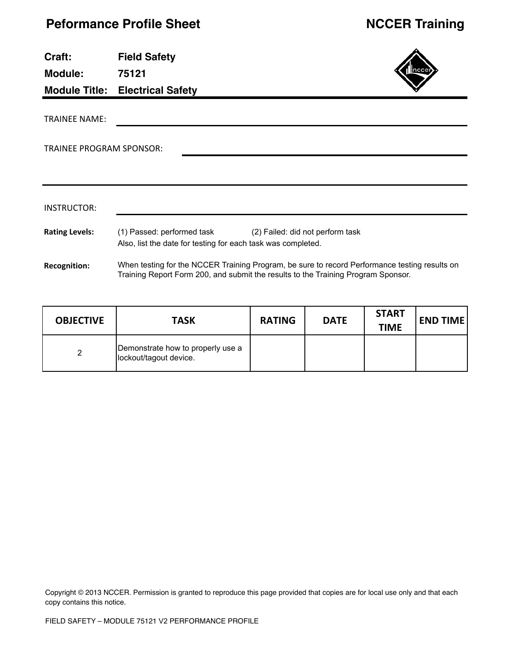| Craft:                          | <b>Field Safety</b>                                                                                                                                                                |                                  |
|---------------------------------|------------------------------------------------------------------------------------------------------------------------------------------------------------------------------------|----------------------------------|
| <b>Module:</b>                  | 75121                                                                                                                                                                              |                                  |
|                                 | <b>Module Title: Electrical Safety</b>                                                                                                                                             |                                  |
| <b>TRAINEE NAME:</b>            |                                                                                                                                                                                    |                                  |
| <b>TRAINEE PROGRAM SPONSOR:</b> |                                                                                                                                                                                    |                                  |
|                                 |                                                                                                                                                                                    |                                  |
|                                 |                                                                                                                                                                                    |                                  |
| INSTRUCTOR:                     |                                                                                                                                                                                    |                                  |
| <b>Rating Levels:</b>           | (1) Passed: performed task<br>Also, list the date for testing for each task was completed.                                                                                         | (2) Failed: did not perform task |
| <b>Recognition:</b>             | When testing for the NCCER Training Program, be sure to record Performance testing results on<br>Training Report Form 200, and submit the results to the Training Program Sponsor. |                                  |

| <b>OBJECTIVE</b> | <b>TASK</b>                                                 | <b>RATING</b> | <b>DATE</b> | <b>START</b><br><b>TIME</b> | <b>END TIME</b> |
|------------------|-------------------------------------------------------------|---------------|-------------|-----------------------------|-----------------|
| 2                | Demonstrate how to properly use a<br>lockout/tagout device. |               |             |                             |                 |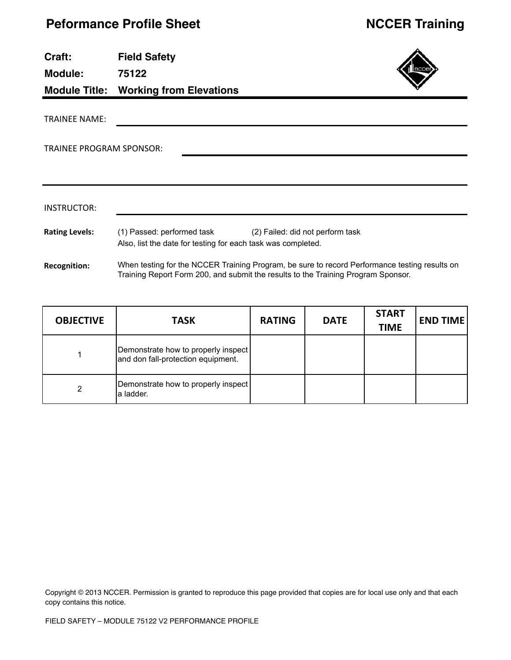**Module: 75122**

**Module Title: Working from Elevations**



TRAINEE PROGRAM SPONSOR:

| INSTRUCTOR:           |                                                                                            |                                                                                                                                                                                    |
|-----------------------|--------------------------------------------------------------------------------------------|------------------------------------------------------------------------------------------------------------------------------------------------------------------------------------|
| <b>Rating Levels:</b> | (1) Passed: performed task<br>Also, list the date for testing for each task was completed. | (2) Failed: did not perform task                                                                                                                                                   |
| <b>Recognition:</b>   |                                                                                            | When testing for the NCCER Training Program, be sure to record Performance testing results on<br>Training Report Form 200, and submit the results to the Training Program Sponsor. |

| <b>OBJECTIVE</b> | <b>TASK</b>                                                               | <b>RATING</b> | <b>DATE</b> | <b>START</b><br><b>TIME</b> | <b>END TIME</b> |
|------------------|---------------------------------------------------------------------------|---------------|-------------|-----------------------------|-----------------|
|                  | Demonstrate how to properly inspect<br>and don fall-protection equipment. |               |             |                             |                 |
| 2                | Demonstrate how to properly inspect<br>la ladder.                         |               |             |                             |                 |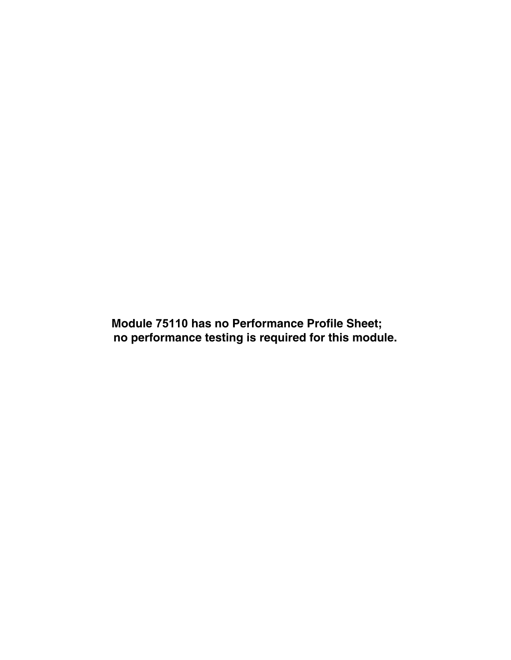**Module 75110 has no Performance Profile Sheet; no performance testing is required for this module.**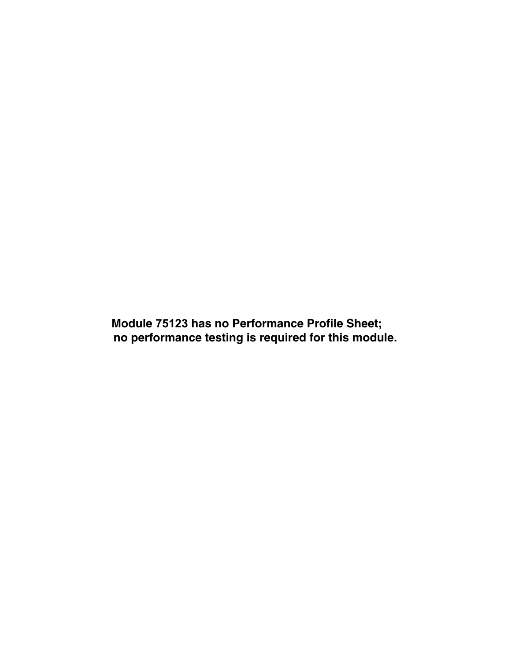**Module 75123 has no Performance Profile Sheet; no performance testing is required for this module.**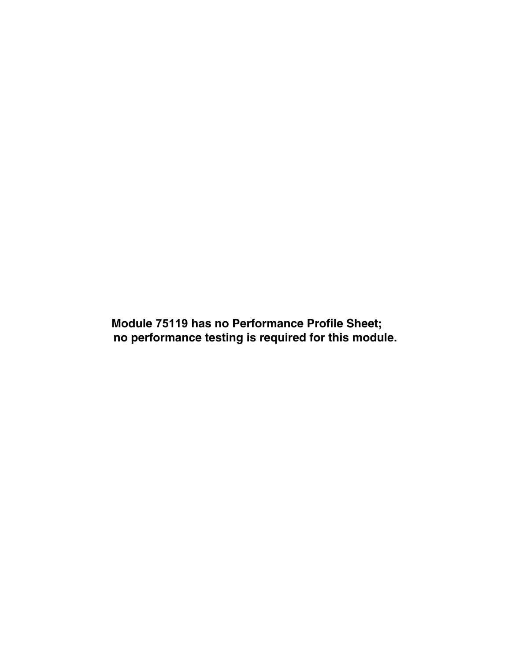**Module 75119 has no Performance Profile Sheet; no performance testing is required for this module.**